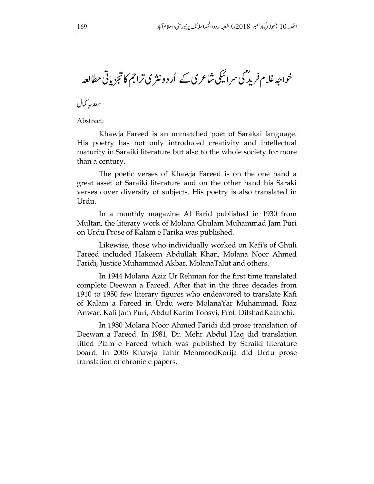خواجہ غلام فرید ؒ میں سرائیکی شاعری کے اُرد ونثری تراجم کا تجزیاتی مطالعہ .  $\ddot{\phantom{0}}$ خواجہ غلام فرید ؓ کی سرائیکی شاعری کے اُردو نثر کی تر

سعد به کمال

Abstract:

Khawja Fareed is an unmatched poet of Sarakai language. His poetry has not only introduced creativity and intellectual maturity in Saraiki literature but also to the whole society for more than a century.

The poetic verses of Khawja Fareed is on the one hand a great asset of Saraiki literature and on the other hand his Saraki verses cover diversity of subjects. His poetry is also translated in Urdu.

In a monthly magazine Al Farid published in 1930 from Multan, the literary work of Molana Ghulam Muhammad Jam Puri on Urdu Prose of Kalam e Farika was published.

Likewise, those who individually worked on Kafi's of Ghuli Fareed included Hakeem Abdullah Khan, Molana Noor Ahmed Faridi, Justice Muhammad Akbar, MolanaTalut and others.

In 1944 Molana Aziz Ur Rehman for the first time translated complete Deewan a Fareed. After that in the three decades from 1910 to 1950 few literary figures who endeavored to translate Kafi of Kalam a Fareed in Urdu were MolanaYar Muhammad, Riaz Anwar, Kafi Jam Puri, Abdul Karim Tonsvi, Prof. DilshadKalanchi.

In 1980 Molana Noor Ahmed Faridi did prose translation of Deewan a Fareed. In 1981, Dr. Mehr Abdul Haq did translation titled Piam e Fareed which was published by Saraiki literature board. In 2006 Khawja Tahir MehmoodKorija did Urdu prose translation of chronicle papers.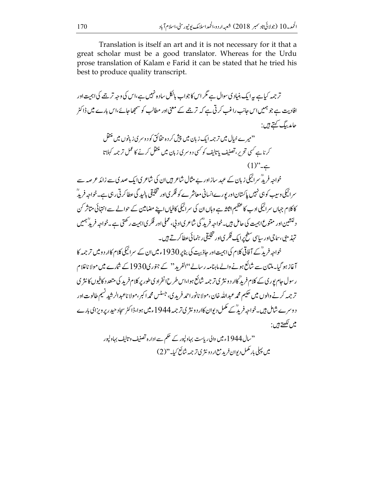Translation is itself an art and it is not necessary for it that a great scholar must be a good translator. Whereas for the Urdu prose translation of Kalam e Farid it can be stated that he tried his best to produce quality transcript.

ترجمہ کیاہے یہ ایک بنیاد کی سوال ہے مگر اس کا جواب پالکل سادہ نہیں ہے،اس کی وجہ ترجے کی اہمت اور افادیت ہے جو ہمیں اس جانب راغب کرتی ہے کہ ترجمے کے معنی اور مطالب کو سمجھا جائے،اس بارے میں ڈاکٹر حامد بيگ ڪهتے ہيں : <sup>د د</sup>میر ے خیال میں تر جمہ ایک زبان میں پپش کر دہ حقائق کو د وسر ی زبانوں میں منتقل کرنا ہے کسی تحریر، تصنیف باتالیف کو کسی دوسر ی زبان میں منتقل کرنے کا عمل ترجمہ کہلاتا  $(1)^{n}$ خواجہ فریدؓ سرائیکی زبان کے عہد سازاور بے مثال شاعر ہیں ان کی شاعر کی ایک صد کی سے زائد ع صہ سے سرائیکی وسیب کو ہی نہیں پاکستان اور پورےانسانی معاشر ے کو فکر کی اور تخلیقی بالبید گی عطاکر تی رہی ہے۔خواجہ فرید ؒ کا کلام جہاں سرائیکی ادب کا عظیم اثاثہ ہے وہاں ان کی سرائیکی کافیاں اپنے مضامین کے حوالے سے انتہائی متاثر کن دلنشین اور متنوع اہمیت کی حامل ہیں۔خواجہ فرید ؓ کی شاعر یااد پی،عملی اور فکر یااہمیت رکھتی ہے۔خواجہ فرید ؒہمیں .<br>تهذیبی،ساجیاورساسی سطح برایک فکر <sub>کیا</sub>اور تخلیقی رہنمائی عطاکرتے ہیں۔ خواجہ فریڈ کے آ فاقی کلام کی اہمیت اور حاذبیت کی بناپر 1930ءمیں ان کے سرائیکی کلام کاار د و میں تر جمہ کا آغاز ہو گیا۔ملتان سے شائع ہونے والے ماہنامہ رسالے''الفرید'' کے جنور کی1930 کے شارے میں مولا ناغلام ر سول حام بوری کے کلام فرید گاار د و نثر ی تر جمہ شائع ہوا،اس طرح انفراد ی طور پر کلام فرید کی متعدد کافیوں کا نثر ی تر جمه کرنے والوں میں حکیم محمہ عبداللہ خان،مولا نانور احمہ فرید ی، جسٹس محمہ اکبر،مولا ناعبدالرشید نسیم طالوت اور د وسرے شامل ہیں۔خواجہ فریدؓ کے مکمل دیوان کاار د ونثر ی تر جمہ 1944 ءمیں ہوا،ڈاکٹر سجاد حید ریر ویزا کی بارے

> ''سال1944ء میں والی ریاست بہاولپور کے حکم سے ادارہ تصنیف و تالیف بہاولپور میں پہلی بار مکمل دیوان فرید مع <sub>ا</sub>ر د ونیژ ی ترجمہ شائع کیا۔''(2)

ميں لکھتے ہيں :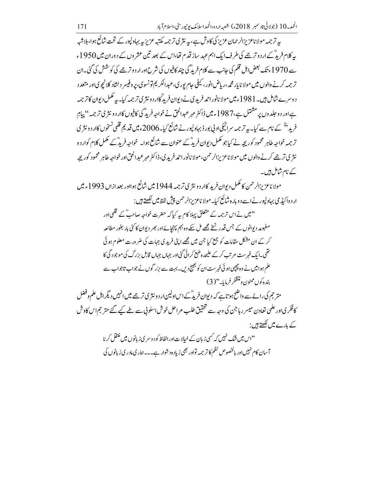یہ ترجمہ مولا ناعزیزالرحمان عزیز کی کاوش ہے،پہ نثر ی ترجمہ مکتبہ عزیز یہ بہاولپور کے تحت شائع ہوا،بلاشبہ پیر کلام فریڈ کے ار دو ترجیے کی طرف ایک اہم عہد ساز قدم تھا،اس کے بعد تین عشر وں کے دوران میں 1950ء سے 1970ء تک بعض ہلل قلم کی جانب سے کلام فرید گی چند کافیوں کی شرح اور ار د و ترجمے کی کوشش کی گئی۔ان تر جمه کرنے والوں میں مولا نا بار محمہ ،ریاض انور ، کیفی جام بور کی،عبدالکریم تونسوی،پر وفیسر دلشاد کلا نیچو کی اور متعد د د وسرے شامل ہیں۔ 1981ءمیں مولا نانوراحمد فریدی نے دیوان فریدگاار دونثری تر جمہ کیا۔ یہ مکمل دیوان کاتر جمہ ہے اور د و حلد وں پر مشتمل ہے،1987ء میں ڈاکٹر مہر عبدالحق نے خواجہ فرید ؓ کی کافیوں کاار د و نثر پی تر جمہ '' پیام فرید ب<sup>8</sup> کے نام سے کیا۔ یہ تر جمہ سرائیکیاد بی پور ڈ بہاولپور نے شائع کیا۔2006ء میں قدیم قلمی نسخوں کاار د و نثر ی ترجمہ خواجہ طاہر محمود کور بچہ نے کیاجو مکمل دیوان فریدؓ کے عنوان سے شائع ہوا۔ خواجہ فریدؓ کے مکمل کلام کوار دو نثری ترجمے کرنے والوں میں مولا ناعز پزالرحمٰن،مولا نانوراحمد فرید کی،ڈاکٹر مہرعبدالحق اورخواجہ طاہر محمود کوریچہ کے نام شامل ہیں۔

مولاناعز بزالرحمن کا مکمل دیوان فرید کاار دو نثر ی ترجمه 1944 میں شائع ہوااور بعد ازاں 1993ء میں ار د واکیڈ می بہادلپور نےاسے د و بار ہ شائع کیا۔مولا ناعزیزالرحمن پیش لفظ میں لکھتے ہیں : ''میں نے اس ترجمہ کے متعلق پہلا کام یہ کیاکہ حضرت خواجہ صاحبؒ کے قلمی اور مطبوعہ دیوانوں کے جس قدر نسخے مجھے مل سکے وہ بہم پہنچائےاور بھر دیوان کا کئی بار بغور مطالعہ کر کے ان مشکل مقامات کو جمع کیا جن میں مجھے اپنی فریدی جہات کی ضرورت معلوم ہو ئی تھی۔ایک فہرست مرتب کرکے علیحدہ طبع کرائی گئی اور جہاں جہاں قابل بزرگ کی موجود گی کا علم ہوا میں نے وہ چچپی ہو ئی فہرست ان کو بھیج دیں۔ بہت سے بزر گوں نے جواب تاجواب سے بنده کوں ممنون ومتشکر فرمایا۔"(3) متر جم کی رائے سے واضح ہو تاہے کہ دیوان فریدؓ کے اس اولین ار د ونثر ی ترجے میں انہیں دیگر اہل علم وفضل کا فکر یااور علمی تعاون میسر رہاجن کی وجہ سے تحقیق طلب مراحل خوش اسلونی سے طے کیے گئے متر جماس کاوش کے بارے میں لکھتے ہیں : <sup>د د</sup>اس میں شک نہیں کہ <sup>کس</sup>ی زبان کے خی<u>ا</u>لات اور الفاظ کو د وسر ی زبانوں میں منتقل کر نا آسان کام نہیں اور پالخصوص نظم کا تر جمہ تواور بھی زیاد ہ د شوار ہے۔۔۔ ہماری مادری زبانوں کی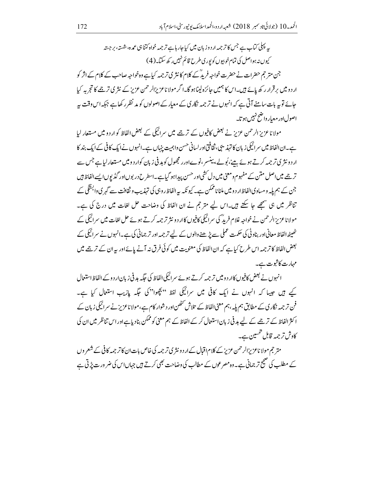ر پہلی کیاب ہے جس کا ترجمہ اردوز ہان میں کیا جارہاہے ترجمہ خواہ کتناہی عمدہ،شستہ، برجستہ کیوں نہ ہواصل کی تمام خوبیوں کو پوری طرح قائم نہیں رکھ سکتا۔(4) جن متر حجم حضرات نے حضرت خواجہ فریدؓ کے کلام کانثر کی تر جمہ کیاہے وہ خواجہ صاحب کے کلام کے اثر کو ار دومیں برقرار رکھ بائے ہیں۔اس کا ہمیں جائزہ لیناہوگا۔ا گر مولاناعز بزالرحمن عزیز کے نثر پی ترجے کا تجربہ کیا جائے تو بیہ بات سامنے آتی ہے کہ انہوں نے تر جمہ نگار کی کے معیار کے اصولوں کو مد نظر رکھاہے جبکہ اس وقت بیہ اصول اور معبار واضح نہیں ہوتا۔

مولانا عزیز الرحمن عزیز نے بعض کافیوں کے ترجمے میں سرائیکی کے بعض الفاظ کو اردو میں مستعار لیا ہے۔ان الفاظ میں سرائیکی زبان کا تہذیبی، ثقافتی اور لسانی حسن واہمیت ینہاں ہے۔انہوں نے ایک کافی کے ایک بند کا ار دونثری ترجمہ کرتے ہوئے بینے،پُولے، پینسر ،نوےاورر مجھول کو ہدفی زبان کوار دومیں مستعار لیاہے جس سے تر جے میں اصل متن کے مفہوم ومعنی میں دل کشی اور حسن پیداہو گیاہے۔اسطر ح در بوں اور گڈیوں ایسے الفاظ ہیں جن کے ہم پلہ ومساوی الفاظ ار دومیں ملنا ناممکن ہے۔ کیو نکہ سہ الفاظ روہی کی تہذیب و ثقافت سے گہر کی وابسَتگی کے تناظر میں ہی سمجھے جا سکتے ہیں۔اس لیے متر جم نے ان الفاظ کی وضاحت حل لغات میں درج کی ہے۔ مولاناعز پزالرحمن نے خواجہ غلام فرید ؓ کی سرائیکی کافیوں کاار دو نثر ترجمہ کرتے ہوئے حل لغات میں سرائیکی کے ٹھیٹھ الفاظ معانی اور بناوٹی کی حکمت عملی سے پڑھنے والوں کے لیے تر جمہ اور تر جمانی کی ہے۔انہوں نے سرائیکی کے بعض الفاظ کا تر جمہ اس طرح کیا ہے کہ ان الفاظ کی معنویت میں کوئی فرق نہ آنے پائے اور یہ ان کے ترج<u>ے</u> میں مہارت کاثبوت ہے۔

انہوں نے بعض کافیوں کاار دومیں تر جمہ کرتے ہوئے سرائیکی الفاظ کی جگہ ہد فی زبان ار دوکے الفاظ استعمال کیے ہیں جیسا کہ انہوں نے ایک کافی میں سرائیکی لفظ ''بچھوا''کی جگہ پازیب استعال کیا ہے۔ فن تر جمہ نگار ک کے مطابق ہم یلہ، ہم معنی الفاظ کے تلاش تحصُن اور د شوار کام ہے،مولا ناعزیز نے سرائیکی زبان کے ا کثر الفاظ کے ترجمے کے لیے ہد فی زبان استعمال کر کے الفاظ کے ہم معنی کو ممکن بنادیاہے اور اس تناظر میں ان کی کاوش ترجمہ قابل تحسین ہے۔

متر جم مولا ناعز بزالرحمن عزیز کے کلام اقبال کے ار د ونثر ی تر جمہ کی خاص بات ان کا تر جمہ کافی کے شعر وں کے مطلب کی صحیح تر جمانی ہے۔وہ مصر عوں کے مطالب کی وضاحت بھی کرتے ہیں جہاںاس کی ضر ور ت پڑتی ہے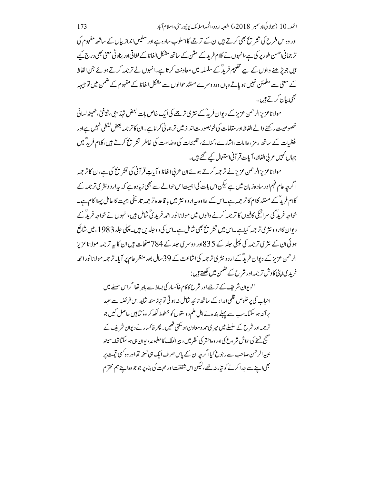اور وہ اس طرح کی تشر پیج بھی کرتے ہیں ان کے ترجے کااسلوب سادہ ہے اور سکیس انداز بیاں کے ساتھ مفہوم کی تر جمانی احسن طور پر کی ہے،انہوں نے کلام فرید کے متن کے ساتھ مشکل الفاظ کے لغاتی اور بناو ٹی معنی بھی درج کیے ہیں جو پڑھنے والوں کے لیے تفہیم فریدؓ کے سلسلہ میں معاونت کرتا ہے۔انہوں نے ترجمہ کرتے ہوئے جن الفاظ کے معنی سے مطمئن نہیں ہو پاتے وہاں وہ دوسرے مستند حوالوں سے مشکل الفاظ کے مفہوم کے ضمن میں توجیہہ *بھی بی*ان کرتے ہیں۔

مولا ناعز پزالرحمن عزیز کے دیوان فریدؓ کے نثر کی ترجمے کی ایک خاص بات بعض تہذیبی، ثقافتی، ٹھیٹھ لسانی خصوصیت رکھنے والے الفاظ اور مقامات کی خو بصورت انداز میں تر جمانی کرناہے۔ان کا تر جمہ بعض لفظی نہیں ہے اور لفظیات کے ساتھ رمز ،علامات،اشارے، کنائے، تلہیجات کی وضاحت کی خاطر تشر ہ<sup>ے</sup> کرتے ہیں،کلام فریدؓ میں جہاں *کہ*یں عربی الفاظ، آیات قر آنی استع<u>ال کیے گئے ہیں</u>۔

مولا ناعز بزالرحمن عزيز نے ترجمہ کرتے ہوئےان عربی الفاظ وآیاتِ قرآنی کی تشریح کی ہے،ان کا ترجمہ ا گرجہ عام فہم اور سادہ زبان میں ہے کیکن اس بات کیا ہمیت اس حوالے سے بھی زیادہ ہے کہ یہ ار د ونثر ی تر جمہ کے کلام فریدؒ کے مستند کلام کا تر جمہ ہے۔اس کے علاوہ پیرار دو نثر میں با قاعدہ تر جمہ تاریخی اہمیت کا حامل پہلا کام ہے۔ خواجہ فریدؓ کی سرائیگی کافیوں کا ترجمہ کرنے والوں میں مولانا نور احمہ فرید کیؓ شامل ہیں،انہوں نے خواجہ فریدؓ کے دیوان کاار دو نثر ی تر جمہ کیاہے۔اس میں تشر یح بھی شامل ہے۔اس کی دو حلد پں ہیں۔ پہلی حلد 1983ء میں شائع ہوئی ان کے نثر ی ترجمہ کی پہلی جلد کے 835اور دوسری جلد کے 784صفحات ہیں ان کا یہ ترجمہ مولاناعزیز الرحمن عزیز کے دیوان فریڈ کے اردو نثر کی ترجمہ کی اشاعت کے 39 سال بعد منظر عام پر آیا۔ترجمہ مولا نانور احمہ فرید کیا پنی کاوش تر جمہ اور شرح کے ضمن میں لکھتے ہیں :

> '' دیوان شریف کے ترجے اور شرح کاکام خاکسار کی بساط سے باہر تھاا گراس سلسلے میں احیاب کی پر خلوص قلمی امداد کے ساتھ تائید شامل نہ ہوتی تو نیاز مند شاید اس فر ئضہ سے عہد برآنہ ہو سکیا۔سب سے پہلے بندہ نےاہل علم دوستوں کو خطوط لکھ کر وہ کیا ہیں حاصل کیں جو ترجمہ اور شرح کے سلسلے میں میر کی مہر ومعاون ہوسکتی تھیں۔ پھر خاکسار نے دیوان شریف کے صحیح نسخے کی تلاش شر وع کی <sub>ا</sub>ور وہ احقر کی نظیر میں دبیر الملک کامطبوعہ دیوان،<sub>گی ہ</sub>و سکتاتھا۔سی<sub>نٹھ</sub> عہبیدالرحمن صاحب سے رجوع کیإا گر جہ ان کے پاس صرف ایک ہی نسخہ تھااور وہ کسی قیمت پر بھی اپنے سے حدا کرنے کو تیار نہ تھے،لیکن اس شفقت اور محت کی بناءیر جو جو وہ اپنے ہم محترم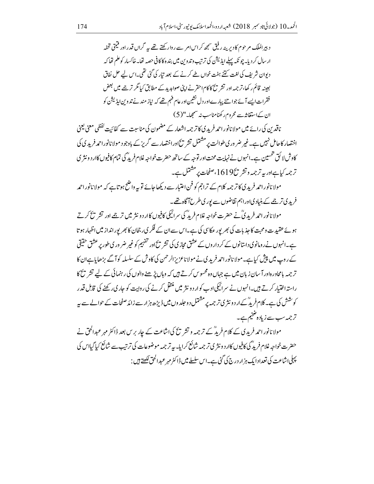د بیرالملک مرحوم کادیرینہ رفیق سمجھ کراس امر سے روارکھتے تھے <sub>ہی</sub>ہ گراں قدر اور قیمتی تحفہ ار سال کر دیا۔ چو نکہ پہلے ایڈیشن کی ترتیب وتد وین میں بند ہ کاکافی حصہ تھا۔خاکسار کوعلم تھا کہ دیوان شریف کی لغت کتنے ہفت خواں طے کرنے کے بعد تیار کی گئی تھی۔اس لیے حل نفاق بعینہ قائم رکھا، ترجمہ اور تشریح کاکام احقر نے اپنی صوابد بد کے مطابق کیا گر ترجمے میں بعض فقرات ایسے آئے جوانتے پیارےادر دل نشین اور عام فہم تھے کہ نیاز مندنے تدوین ایڈیشن کو ان کےاستغاثہ سے محروم رکھنامناسب نہ سمجھا۔"(5)

ناقدین کی رائے میں مولا نانور احمد فرید کی کا تر جمہ اشعار کے مضمون کی مناسبت سے کفائیت لفظی معنی یعنی اختصار کاحامل نہیں ہے۔غیر ضر ور ی طوالت پر مشتمل تشر شی اوراختصار سے گریز کے باوجود مولا نانوراحمہ فرید پی کی کاوش لائق تحسین ہے۔انہوں نے نہایت محنت اور توجہ کے ساتھ حضرت خواجہ غلام فرید گی تمام کافیوں کاار د و نثر ی ترجمہ کیاہےاور پہ ترجمہ وتشر تکے1619،صفحات پر مشتمل ہے۔

مولا نانور احمد فرید پی کا تر جمہ کلام کے تراجم کو فن اعتبار سے دیکھاجائے تو یہ واضح ہوتا ہے کہ مولا نانور احمد فرید کی ترجمے کے بنیاد کیاوراہم ثقاضوں سے یور کی طرح آگاہ تھے۔

مولانانور احمد فرید دیؒ نے حضرت خواجہ غلام فریدؒ کی سرائیکی کافیوں کاار د و نثر میں ترجے اور تشر یخ کرتے ہوئے عقید ت ومحبت کا جذبات کی بھر پور عکاسی کی ہے۔اس سے ان کے فکر ی رجحان کا بھر پور انداز میں اظہار ہوتا ہے۔انہوں نے رومانوی داستانوں کے کر داروں کے عشق مجازی کی تشریح اور تفہیم کو غیر ضر وری طور پر عشق حقیقی کے روپ میں پیش کیاہے۔مولا نانور احمد فرید کی نے مولا ناعز بزالرحمن کی کاوش کے سلسلہ کو آگے بڑھایاہےان کا تر جمہ یامحاور ہ|ور آسان زبان میں ہے جہاں وہ محسوس کرتے ہیں کہ وہاں پڑھنے والوں کی رہنمائی کے لیے تشریح کا راستہ اختیار کرتے ہیں۔انہوں نے سرائیکی ادب کوار دو نثر میں منتقل کرنے کی روایت کو حاری رکھنے کی قابل قدر کوشش کی ہے۔کلام فریدؓ کےار د ونثر پی تر جمہ پر مشتمل د وحلد وں میں ڈیڑھ ہزار سے زائد صفحات کے حوالے سے پہ ترجمہ سب سے زیادہ ضخیم ہے۔

مولا نانور احمد فریدی کے کلام فریدؒ کے ترجمہ و تشر تح کی اشاعت کے چار برس بعد ڈاکٹر مہر عبدالحق نے حضرت خواجہ غلام فرید ؓ کی کافیوں کاار دونثر کی تر جمہ شائع کرایا۔ بہ تر جمہ موضوعات کی ترتیب سے شائع کیا گیااس کی پہلی اشاعت کی تعدادا یک ہزار درج کی گئی ہے۔اس سلسلے میں ڈاکٹر مہر عبدالحق لکھتے ہیں :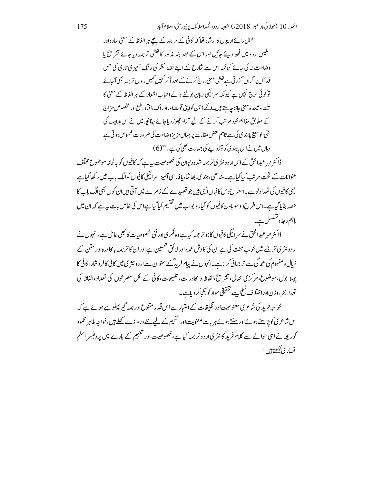"اہل رائے ادیپوں کاار شاد تھا کہ کافی کے ہر بند کے نیحے ہر الفاظ کے معنی سادہ اور سلیس اردو میں لکھ دیئے جائیں اور اس کے بعد بند مذکور کالفظی ترجمہ دیا جائے تشریح یا وضاحت نہ کی جائے کیونکہ اس سے شارح کے اپنے نقطۂ نظر کی رنگ آمیز ی تاری کی <sup>حس</sup> فد آں پر گراں گزر ٹی ہے لفظی معنی درج کرنے کے بعد آکر کہیں کہیں رواں تر جمہ بھی آ جائے تو کوئی حرج نہیں ہے کیونکہ سرائیکی زبان بولنے والے احباب اشعار کے ہر الفاظ کے معنی کا .<br>عليھدہ عليھدہ معنى جانناجا بيتے ہيں۔ائکے ذ<sup>ہ</sup>ن کواپنی قوت اوراد راک،افماد ،طبع اور مخصوص مزاج کے مطابق مفاہم خود مرتب کرنے کے لیے آزاد حچوڑ دیاجائے چنانچہ میں نے اس ہدایت کی حتی الوسیع پابندی کی ہے تاہم بعض مقامات پر جہاں مزیز وضاحت کی ضر ورت محسوس ہو تی ہے وہاں میں نےاس پابندی کونوڑ دینے کی جسارت بھی کی ہے۔"(6)

ڈاکٹر مہرعبدالحق کے اس ار د ونثر کی تر جمہ شدہ دیوان کی خصوصیت بیرہے کہ کافیوں کو یہ لحاظ موضوع مختلف عنوانات کے تحت مرتب کیا گیاہے۔سندھی،ہندی،بھاشا،پافار سی آمیز سرائیکی کافیوں کوالگ باپ میں رکھا گیاہے ایپی کافیوں کی تعداد نوہے۔اسطرح دیں کافیاں ایپی ہیں جو قصیدے کے زمرے میں آتی ہیں ان کوں بھی الگ باب کا حصہ بنایا گیاہے۔اس طرح دوسو بادن کافیوں کو گیارہ ابواب میں تفسیم کیا گیاہےاس کی خاص بات بہ ہے کہ ان میں باہم ربط وتسکسل ہے۔

ڈاکٹر مہرعبدالحق نے سرائیکی کافیوں کاجو تر جمہ کیاہے وہ فکر کیااور فنی خصوصیات کا بھی حامل ہے،انہوں نے ار د و نثر پی ترجمے میں خوب محنت کی ہے ان کی کاوش عمدہ اور لا ئق تحسین ہے اور ان کا ترجمہ پامحاورہ اور متن کے حیال ومفہوم کی عمد گی سے تر جمانی کرتا ہے۔انہوں نے پیام فریدؓ کے عنوان سے ار د ونثر ی میں کافی کافر د شار ، کافی کا یہلا بول،موضوع،مرکزی خیال، تشریح،الفاظ و محاورات، تلہیجات،کافی کے کل مصرعوں کی تعداد،الفاظ کی تعدا، بحر ،وزناوراختلاف نسخ ايسے تحقيقي مواد کو يکچاکر دياہے۔

خواجہ فرید کی شاعر کی معنوعیت اور تخلیقات کے اعتبار سے اس قدر متنوع اور ہمہ گیر پہلو لیے ہوئے ہے کہ اس شاعر کی کوبڑھتے ہوئےاور سنتے ہوئے ہریات معنویت اور تفہیم کے لیے نئے در وازے کھلے ہیں،خواجہ طاہر محمود کوریجہ نے اسی حوالے سے کلام فرید گا نثر کی اردو تر جمہ کیا ہے، خصوصیت اور تفہیم کے بارے میں پر وفیسر اسلم انصار کی <u>لکھتے</u> ہیں :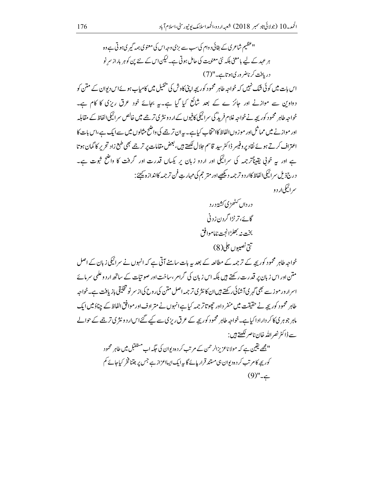''عظیم شاعر ی کے بقائی د وام کی سب سے بڑی وجہ اس کی معنوی ہمہ گیر ی ہوتی ہے وہ ہر عہد کے لیے یامعنیٰ بلکہ نئی معنویت کی حامل ہوتی ہے۔لیکن اس کے نئے پن کو ہر باراز سر نو دریافت کرناضر وری ہوتاہے۔"(7) اس بات میں کوئی شک نہیں کہ خواجہ طاہر محمود کور بچہ اپنی کاوش کی پنجیل میں کامیاب ہوئےاس دیوان کے متن کو دواوین سے موازنے اور جائز ے کے بعد شائع کیا گیا ہے۔یہ بجائے خود عرق ریزی کا کام ہے۔ خواجہ طاہر محمود کورپچہ نے خواجہ غلام فرید ؓ کی سرائیکی کافیوں کے ار د ونثر پی تر جمے میں خالص سرائیکی الفاظ کے مقابلہ اور موازنے میں مماثل اور موز وں الفاظ کاانتخاب کیاہے۔ یہ ان ترجیے کی واضح مثالوں میں سے ایک ہے،اس بات کا اعتراف کرتے ہوئے نقاد پروفیسر ڈاکٹر سید قاسم حلال لکھتے ہیں، بعض مقامات پر ترجمے بھی طبع زاد تحریر کا گمان ہوتا ہے اور یہ خوتی یقیناًتر جمہ کی سرائیکی اور اردو زبان پر یکساں قدرت اور گرفت کا واضح ثبوت ہے۔ درج ذيل سرائيكي الفاظ كاار د وتر جمه ديكھيے اور متر حجم كى مہارتِ فن تر جمه كااندازہ يحيُّ: سرائيکي لد د و

خواجہ طاہر محمود کور پچہ کے ترجمہ کے مطالعہ کے بعد یہ بات سامنے آتی ہے کہ انہوں نے سرائیکی زبان کے اصل متن اور اس زبان پر قدرت رکھتے ہیں بلکہ اس زبان کی گرام ،ساخت اور صوتیات کے ساتھ ار دوعلمی سرمائے اسرار ورموز سے بھی گہر ی آشائی رکھتے ہیں ان کانثر ی تر جمہ اصل متن کی روح کی از سر نو تخلیقی بازیافت ہے۔خواجہ طاہر محمود کورپچہ نے حقیقت میں منفر داور حچوتاتر جہہ کیاہےانہوں نے متر ادف اور موافق الفاظ کے چناؤ میں ایک ماہر جوہر کی کاکر دار ادا کیاہے۔خواجہ طاہر محمود کوریجہ کے عرق ریزی سے کیے گئے اس ار دونثر کی ترج<u>ے کے حوالے</u> سے ڈاکٹر نصراللّٰہ خان ناصر <u>لکھتے</u> ہیں : '' مجھے یقین ہے کہ مولا ناعزیزالرحمن کے مرتب کر دہ دیوان کی حکیہ اب مستقبل میں طاہر محمود

کوریچہ کام تب کردہ دیوان ہی مستند قرار پائے گا یہ ایک ایسااعزاز ہے جس پر جتنافخر کیاجائے کم  $(9)$ "  $\neq$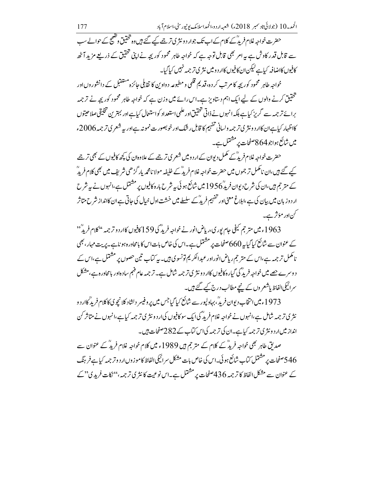حضرت خواجہ غلام فریدؓ کے کلام کے اب تک جوار دونثر پی تر جے کیے گئے ہیں وہ تحقیق وکھیجے کے حوالے سب سے قابل قدر کاوش ہے یہ امر بھی قابل توجہ ہے کہ خواجہ طاہر محمود کور پچہ نے اپنی تحقیق کے ذریعے مزید آٹھ كافيوں كااضافہ كياہے ليكن ان كافيوں كاار دوميں نثر ي تر جمہ نہيں كياگيا۔

خواجہ طاہر محمود کوریجہ کا مرتب کر دہ،قدیم قلمی و مطبوعہ د واوین کا تقابلی حائزہ مستقبل کے دانشور وں اور تحقیق کرنے والوں کے لیے ایک اہم دستاویز ہے۔اس رائے میں وزن ہے کہ خواجہ طاہر محمود کوریجہ نے ترجمہ برائے تر جمہ سے گریز کیاہے بلکہ انہوں نے ذاتی تحقیق اور علمی استعداد کواستعال کیاہےاور بہترین تخلیقی صلاحیتوں كااظهار كباہےان كاار دونثرى ترجمہ ولسانى تفہيم كا قابل رشك اور خوبصورت نمونہ ہےاور بہ شعرى ترجمہ 2006ء میں شائع ہواجو864 صفحات پر مشتمل ہے۔

حضرت خواجہ غلام فریدؓ کے مکمل دیوان کے ار د ومیں شعر ی تر جے کے علاوہان کی کچھ کافیوں کے بھی تر جے کیے گئے ہیں،ان نامکمل تر جموں میں حضرت خواجہ غلام فریڈ کے خلیفہ مولا نامحمہ بار گڑھی شریف میں بھی کلام فریڈ کے متر جم ہیں،ان کی شرح دیوان فریدؒ1956 میں شائع ہو ئی بہ شرح بارہ کافیوں پر مشتمل ہے،انہوں نے بہ شرح ار دوز بان میں بیان کی ہے،اہلاغ معنی اور تفہیم فرید ؒ کے سلسلے میں خشت اول خیال کی جاتی ہے ان کاانداز شرح متاثر کناور مؤثر ہے۔

1963ء میں متر جم کیفی جام پوری،ریاض انور نے خواجہ فرید ؓ کی 159 کافیوں کاار د و تر جمہ ''کلام فریدٌ'' کے عنوان سے شائع کیا گیا ہے 660صفحات پر مشتمل ہے۔اس کی خاص بات اس کا بامحاور ہ ہو ناہے۔ پریت مہار ، بھی نامکمل تر جمہ ہے،اس کے متر جم ریاض انوراور عبدالکر یم تونسوی ہیں۔ بہ کتاب تین حصوں پر مشتمل ہے،اس کے د وسرے حصے میں خواجہ فرید ؓ کی گیارہ کافیوں کاار د ونثر ی تر جمہ شامل ہے۔ تر جمہ عام فہم ساد ہاور بامحاور ہے،مشكل سرائیکی الفاظ یاشعر وں کے پنیچے مطالب درج کیے گئے ہیں۔

1973ء میں انتخاب دیوان فریدؒ، بہاولپور سے شائع کیا گیا جس میں پر وفیسر دلشاد کلا نیچو کی کاکلام فرید گاار د و نثری تر جمہ شامل ہے،انہوں نے خواجہ غلام فرید ؓ کیا ایک سو کافیوں کی ار دو نثر کی تر جمہ کیا ہے،انہوں نے متاثر کن انداز میں ار دونثری ترجمہ کیاہے۔ان کی ترجمہ کیاس کتاب کے 282صفحات ہیں۔

صدیق طاہر بھی خواجہ فریڈ کے کلام کے متر جم ہیں 1989ء میں کلام خواجہ غلام فریڈ کے عنوان سے 546صفحات پر مشتمل کتاب شائع ہو ئی۔اس کی خاص بات مشکل سرائیکی الفاظ کاموز وںار دو تر جہہ کیاہے فر ہنگ کے عنوان سے مشکل الفاظ کا ترجمہ 436صفحات پر مشتمل ہے۔اس نوعیت کا نثری ترجمہ،'' نکات فریدی'' کے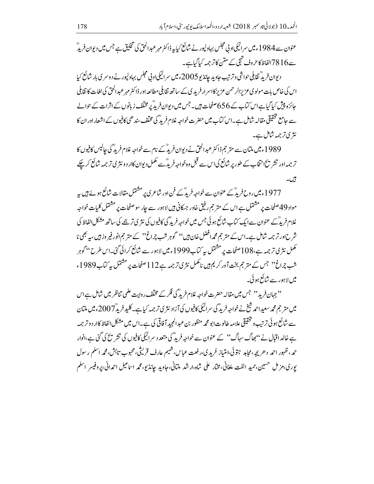عنوان سے 1984ء میں سرائیکیاد پی مجلس بہادلپور نے شائع کیا پہ ڈاکٹر مہر عبدالحق کی تخلیق ہے جس میں دیوان فرید ؒ سے 16 78الفاظ کاحروف تہجی کے متن کاتر جمہ کیاگیاہے۔

دیوان فریدٌ تقابلی حواشی و ترتیب جاوید جانڈیو 2005ء میں سرائیکی اد پی مجلس بہاولپور نے دوسر کی بار شائع کیا اس کی خاص بات مولوی عزیزالرحمن عزیز کااسر ارفرید کی کے ساتھ تقابلی مطالعہ اور ڈاکٹر مہر عبدالحق کی لغات کا تقابل جائزہ پیش کیا گیاہےاس کیاب کے 656 صفحات ہیں۔ جس میں دیوان فریدؓ پر مختلف زبانوں کے اثرات کے حوالے سے جامع تحقیقی مقالہ شامل ہے۔اس کتاب میں حضرت خواجہ غلام فرید ؓ کی مختلف سند ھی کافیوں کے اشعار اور ان کا نثری ترجمہ شامل ہے۔

1989ء میں ملتان سے متر جم ڈاکٹر عبدالحق نے دیوان فریڈ کے نام سے خواجہ غلام فریڈ کی جالیس کافیوں کا تر جمہ اور تشر تنگانتخاب کے طور پر شائع کیا اس سے قبل وہ خواجہ فریدؓ سے مکمل دیوان کاار دونثر کی تر جمہ شائع کرچکے ئیں۔

1977ء میں روح فریدؓ کے عنوان سے خواجہ فریدؓ کے فن اور شاعر ی پر مشتمل مقالات شائع ہوئے ہیں یہ مواد 49صفحات پر مشتمل ہے اس کے متر حجم رفیق خاور جسکانی ہیں لاہور سے جار سوصفحات پر مشتمل کلیات خواجہ غلام فرید ؒ کے عنوان سے ایک کتاب شائع ہو ئی جس میں خواجہ فریدؓ کی کافیوں کی نثر ی تر جے کی ساتھ مشکل الفاظ کی شر ح ادر تر جمہ شامل ہے۔اس کے متر جم محمدافضل خان ہیں'' گوہر شب چراغ'' کے متر جم انور فیر وز ہیں، یہ بھی نا مکمل نثری ترجمہ ہے،108مفحات پر مشتمل یہ کتاب1999ء میں لاہور سے شائع کرائی گئی۔اس طرح ''گوہر شپ چراغ<sup>دد</sup> جس <sub>کے</sub> متر حج بخت آور کریم ہیں نامکمل نثری ترجمہ ہے112صفحات پر مشتمل ہے کیاب<sup>1989</sup>ء میں لاہور سے شائع ہو ئی۔

'' جہان فرید'' جس میں مقالہ حضرت خواجہ غلام فرید ؓ کی فکر کے مخلف روایت علمی تناظر میں شامل ہےاس میں متر جم محمہ سعیداحمہ شیخ نے خواجہ فرید ؓ کی سرائیکی کافیوں کی آزاد نثری ترجمہ کیاہے۔کلید فریدؓ 2007ء میں ملتان سے شائع ہو ئی ترتیب و تحقیقی علامہ طالوت ابو محمہ منظور بن عبدالمجید آ فاقی کی ہے۔اس میں مشکل الفاظ کاار د و ترجمہ ہے خالد اقبال نے ''بھاگ سہاگ'' کے عنوان سے خواجہ فرید ؓ کی متعدد سرائیکی کافیوں کی تشر پچ کی گئی ہے،انوار حمہ، ظہور احمد دھر بچہ،مجاہد جتوئی،امتیاز فریدی،رفعت عباس،شیم عارف قریثی،محبوب تابش،محمہ اسلم رسول بوري،مز مل حسين،حميد الفت ملغاني،مختار على شاه،ارشد ملتاني،جاويد جاندٌ يو،محمه اساعيل احمداني،پروفيسر اسلم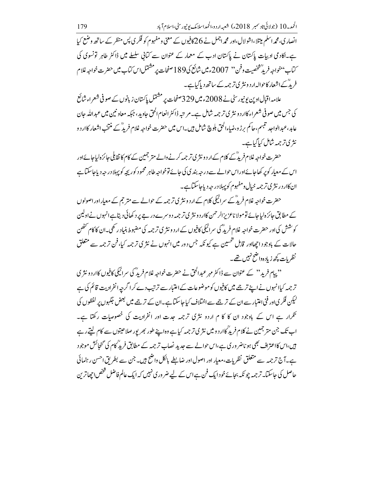انصاری، محمہ اسلم میتلا،اشو لال،اور محمہ اجمل نے 26کافیوں کے معنی و مفہوم کو فکر پی پس منظر کے ساتھ وضع کیا ہے۔اکاد می ادبیات پاکستان نے پاکستان ادب کے معمار کے عنوان سے کتانی سلسلے میں ڈاکٹر طاہر تونسوی کی \_<br>سماب''خواجهِ فریدٌ شخصیت و فن'' 2007ء میں شائع کی 189 صفحات پر مشتمل اس کتاب میں حضرت خواجہ غلام فریڈ کےاشعار کاحوالہ ار دونثری ترجمہ کے ساتھ دیاگیاہے۔

علامہ اقبال اوپن پونیورسٹی نے 2008ء میں 329صفحات پر مشتمل پاکستان زبانوں کے صوفی شعراء شائع کی جس میں صوفی شعراء کاار دو نثر کی تر جمہ شامل ہے۔مرینیہ ڈاکٹر انعام الحق جاوید ، جبکہ معاونین میں عبدالله حان عابد،عبدالواحد تنبسم،حاکم برڑ و،ضاءالحق بلوچ شامل ہیں۔اس میں حضرت خواجہ غلام فریدؓ کے منتخب اشعار کاار د و نثری ترجمہ شامل کیا گیاہے۔

حضرت خواجہ غلام فریدؓ کے کلام کے ار د ونثر ی تر جمہ کرنے والے متر جمین کے کام کا نقابلی جائزہ لیاجائےاور اس کے معیار کوپر کھاجائےاوراس حوالے سے در جہ بند پی کی جائے توخواجہ طاہر محمود کوریچہ کوپہلا در جہ دیاجاسکتا ہے ان کاار در نثر ی تر جمه خیال ومفہوم کو پہلا در چہ دیاجاسکتاہے۔

حضرت خواجہ غلام فریڈ کے سرائیکی کلام کے ار دو نثر ی تر جمہ کے حوالے سے متر جم کے معیار اور اصولوں کے مطابق جائزہ لیاجائے تومولا ناعزیزالرحمن کاار دونثری ترجمہ دوسرے درجے پر د کھائی دیتاہےانہوں نےاولین کوشش کی اور حضرت خواجہ غلام فرید ؓ گی سرائیگی کافیوں کے ار د و نثر ی تر جمہ کی مضبوط بنیاد رکھی۔ان کا کام تخص حالات کے باوجود اچھااور قابل تحسین ہے کیونکہ جس دور میں انہوں نے نثری ترجمہ کیا،فن ترجمہ سے متعلق نظريات كچھ زيادہ واضح نہيں تھے۔

''پہام فرید'' کے عنوان سے ڈاکٹر مہر عبدالحق نے حضرت خواجہ غلام فریڈ کی سرائیکی کافیوں کاار دو نثر ی تر جمہ کیاانہوں نے اپنے ترجے میں کافیوں کو موضوعات کے اعتبار سے ترتیب دے کرا گرجہ انفرادیت قائم کی ہے لیکن فکر کی اور فنی اعتبار سے ان کے ترجمے سے اختلاف کیا جاسکتا ہے۔ان کے ترجمے میں بعض جگہوں پر لفظوں کی تکرار ہے اس کے باوجود ان کا کا م اردو نثری ترجمہ جدت اور انفرادیت کی خصوصیات رکھتا ہے۔ اب تک جن متر جمین نے کلام فرید گاار دومیں نثر کی تر جمہ کیاہے وہ اپنے طور بھر پور صلاحیتوں سے کام لیتے رہے ہیں،اس کااعتراف بھی ہو ناضر وری ہے،اس حوالے سے جدید نصاب تر جمہ کے مطابق فریدٌ کام کی گنجائش موجود ہے۔آج ترجمہ سے متعلق نظریات،معیار اور اصول اور ضابطے بالکل واضح ہیں۔جن سے بطریق احسن رہنمائی حاصل کی جاسکتا۔ تر جمہ چو نکہ بجائے خود ایک فن ہےاس کے لیے ضر وری نہیں کہ ایک عالم فاضل شخص اچھاترین